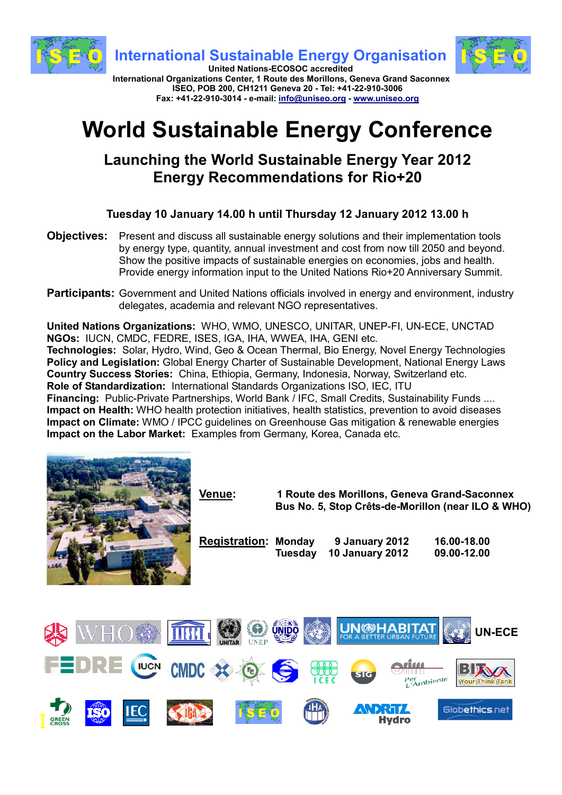

**Fax: +41-22-910-3014 - e-mail: info@uniseo.org - www.uniseo.org**

# **World Sustainable Energy Conference**

## **Launching the World Sustainable Energy Year 2012 Energy Recommendations for Rio+20**

**Tuesday 10 January 14.00 h until Thursday 12 January 2012 13.00 h**

- **Objectives:** Present and discuss all sustainable energy solutions and their implementation tools by energy type, quantity, annual investment and cost from now till 2050 and beyond. Show the positive impacts of sustainable energies on economies, jobs and health. Provide energy information input to the United Nations Rio+20 Anniversary Summit.
- **Participants:** Government and United Nations officials involved in energy and environment, industry delegates, academia and relevant NGO representatives.

**United Nations Organizations:** WHO, WMO, UNESCO, UNITAR, UNEP-FI, UN-ECE, UNCTAD **NGOs:** IUCN, CMDC, FEDRE, ISES, IGA, IHA, WWEA, IHA, GENI etc.

**Technologies:** Solar, Hydro, Wind, Geo & Ocean Thermal, Bio Energy, Novel Energy Technologies **Policy and Legislation:** Global Energy Charter of Sustainable Development, National Energy Laws **Country Success Stories:** China, Ethiopia, Germany, Indonesia, Norway, Switzerland etc. **Role of Standardization:** International Standards Organizations ISO, IEC, ITU **Financing:** Public-Private Partnerships, World Bank / IFC, Small Credits, Sustainability Funds .... **Impact on Health:** WHO health protection initiatives, health statistics, prevention to avoid diseases **Impact on Climate:** WMO / IPCC guidelines on Greenhouse Gas mitigation & renewable energies **Impact on the Labor Market:** Examples from Germany, Korea, Canada etc.



I

|                 | Venue:                      | 1 Route des Morillons, Geneva Grand-Saconnex<br>Bus No. 5, Stop Crêts-de-Morillon (near ILO & WHO) |                                          |                           |                            |               |
|-----------------|-----------------------------|----------------------------------------------------------------------------------------------------|------------------------------------------|---------------------------|----------------------------|---------------|
|                 | <b>Registration: Monday</b> | <b>Tuesday</b>                                                                                     | 9 January 2012<br><b>10 January 2012</b> |                           | 16.00-18.00<br>09.00-12.00 |               |
|                 |                             |                                                                                                    |                                          |                           |                            |               |
| ZAR             |                             | <b>ÚNIDO</b>                                                                                       |                                          | <b>UN®HABITAT</b>         |                            | <b>UN-ECE</b> |
| RE WON CMDC * @ |                             | $\ddot{\bullet}$                                                                                   | <b>SIG</b>                               | Per <sub>li</sub> nbiente |                            |               |
|                 |                             |                                                                                                    |                                          | Hvdro                     | Globethics.net             |               |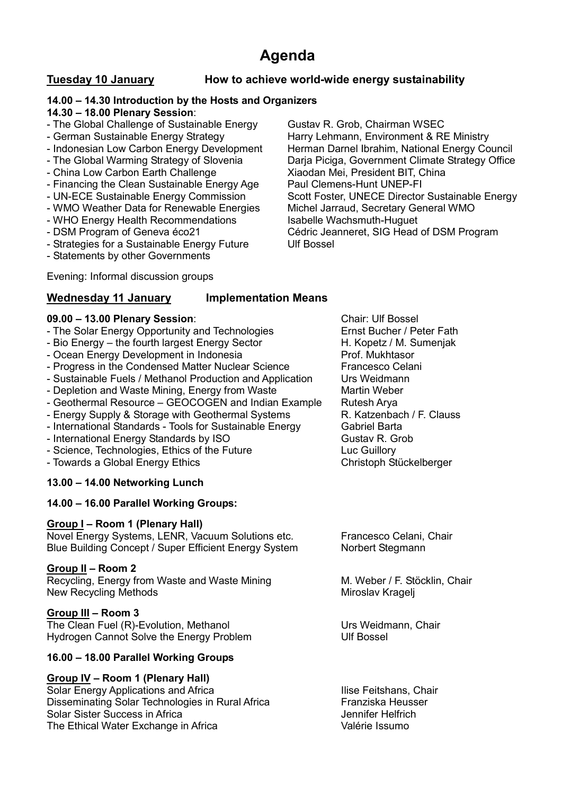### **Agenda**

### **Tuesday 10 January How to achieve world-wide energy sustainability**

#### **14.00 – 14.30 Introduction by the Hosts and Organizers**

#### **14.30 – 18.00 Plenary Session**:

- The Global Challenge of Sustainable Energy Gustav R. Grob, Chairman WSEC
- 
- 
- 
- 
- Financing the Clean Sustainable Energy Age
- 
- WMO Weather Data for Renewable Energies Michel Jarraud, Secretary General WMO
- 
- 
- Strategies for a Sustainable Energy Future Ulf Bossel
- Statements by other Governments

- German Sustainable Energy Strategy **Harry Lehmann, Environment & RE Ministry** - Indonesian Low Carbon Energy Development Herman Darnel Ibrahim, National Energy Council<br>- The Global Warming Strategy of Slovenia Darja Piciga, Government Climate Strategy Office Darja Piciga, Government Climate Strategy Office - China Low Carbon Earth Challenge Xiaodan Mei, President BIT, China<br>- Financing the Clean Sustainable Energy Age Paul Clemens-Hunt UNEP-FI - UN-ECE Sustainable Energy Commission Scott Foster, UNECE Director Sustainable Energy - WHO Energy Health Recommendations Isabelle Wachsmuth-Huguet<br>- DSM Program of Geneva éco21 Cédric Jeanneret, SIG Head Cédric Jeanneret, SIG Head of DSM Program

Evening: Informal discussion groups

#### **Wednesday 11 January Implementation Means**

#### **09.00 – 13.00 Plenary Session**: Chair: Ulf Bossel

- The Solar Energy Opportunity and Technologies Ernst Bucher / Peter Fath
- Bio Energy the fourth largest Energy Sector H. Kopetz / M. Sumenjak
- Ocean Energy Development in Indonesia **Prof. Mukhtasor**
- Progress in the Condensed Matter Nuclear Science Francesco Celani
- Sustainable Fuels / Methanol Production and Application Urs Weidmann
- Depletion and Waste Mining, Energy from Waste Martin Weber
- Geothermal Resource GEOCOGEN and Indian Example Rutesh Arya
- Energy Supply & Storage with Geothermal Systems **R. Katzenbach / F. Clauss**
- International Standards Tools for Sustainable Energy Gabriel Barta
- International Energy Standards by ISO Gustav R. Grob
- Science, Technologies, Ethics of the Future Luc Guillory
- Towards a Global Energy Ethics **Christoph Stückelberger** Christoph Stückelberger

### **13.00 – 14.00 Networking Lunch**

#### **14.00 – 16.00 Parallel Working Groups:**

#### **Group I – Room 1 (Plenary Hall)**

Novel Energy Systems, LENR, Vacuum Solutions etc. Francesco Celani, Chair Blue Building Concept / Super Efficient Energy System Norbert Stegmann

#### **Group II – Room 2**

Recycling, Energy from Waste and Waste Mining M. Weber / F. Stöcklin, Chair New Recycling Methods Miroslav Kragelj

#### **Group III – Room 3**

The Clean Fuel (R)-Evolution, Methanol **International Clean Chair** Urs Weidmann, Chair Hydrogen Cannot Solve the Energy Problem **Energy Problem** Ulf Bossel

#### **16.00 – 18.00 Parallel Working Groups**

### **Group IV – Room 1 (Plenary Hall)**

Solar Energy Applications and Africa<br>
Disseminating Solar Technologies in Rural Africa<br>
Franziska Heusser Disseminating Solar Technologies in Rural Africa Solar Sister Success in Africa **Jennifer Helfrich** Jennifer Helfrich The Ethical Water Exchange in Africa Valérie Issumo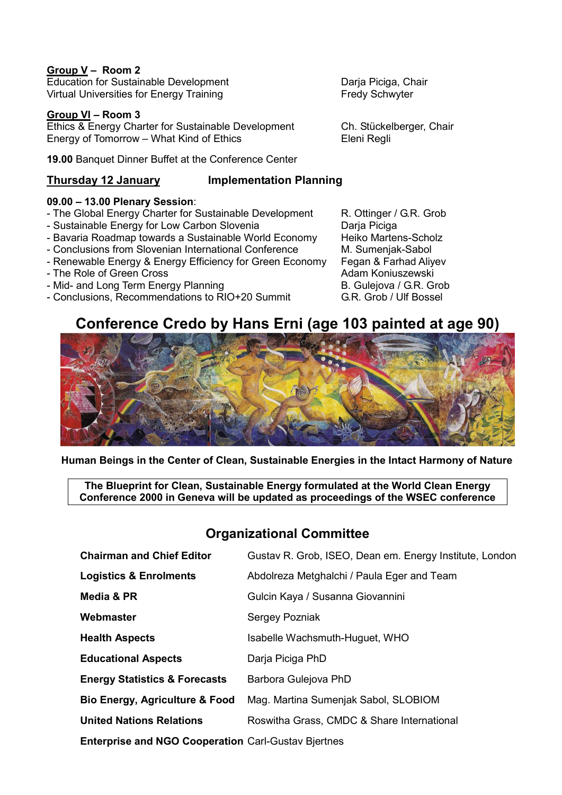#### **Group V – Room 2**

Education for Sustainable Development Darja Piciga, Chair Virtual Universities for Energy Training Fredy Schwyter

#### **Group VI – Room 3**

Ethics & Energy Charter for Sustainable Development Ch. Stückelberger, Chair Energy of Tomorrow – What Kind of Ethics Eleni Regli

**19.00** Banquet Dinner Buffet at the Conference Center

#### **Thursday 12 January Implementation Planning**

#### **09.00 – 13.00 Plenary Session**:

- The Global Energy Charter for Sustainable Development R. Ottinger / G.R. Grob
- 
- Sustainable Energy for Low Carbon Slovenia Darja Piciga - Bavaria Roadmap towards a Sustainable World Economy Heiko Martens-Schol<br>- Conclusions from Slovenian International Conference M. Sumeniak-Sabol
- Conclusions from Slovenian International Conference
- Renewable Energy & Energy Efficiency for Green Economy Fegan & Farhad Aliyev
- 
- 
- Mid- and Long Term Energy Planning<br>- Conclusions. Recommendations to RIO+20 Summit G.R. Grob / Ulf Bossel - Conclusions, Recommendations to RIO+20 Summit

- The Role of Green Cross<br>
- Mid- and Long Term Energy Planning<br>
- Mid- and Long Term Energy Planning<br>
- And Adam Koniuszewski

### **Conference Credo by Hans Erni (age 103 painted at age 90)**



 **Human Beings in the Center of Clean, Sustainable Energies in the Intact Harmony of Nature** 

**The Blueprint for Clean, Sustainable Energy formulated at the World Clean Energy Conference 2000 in Geneva will be updated as proceedings of the WSEC conference** 

### **Organizational Committee**

| <b>Chairman and Chief Editor</b>                    | Gustav R. Grob, ISEO, Dean em. Energy Institute, London |
|-----------------------------------------------------|---------------------------------------------------------|
| <b>Logistics &amp; Enrolments</b>                   | Abdolreza Metghalchi / Paula Eger and Team              |
| Media & PR                                          | Gulcin Kaya / Susanna Giovannini                        |
| Webmaster                                           | Sergey Pozniak                                          |
| <b>Health Aspects</b>                               | Isabelle Wachsmuth-Huguet, WHO                          |
| <b>Educational Aspects</b>                          | Darja Piciga PhD                                        |
| <b>Energy Statistics &amp; Forecasts</b>            | Barbora Gulejova PhD                                    |
| <b>Bio Energy, Agriculture &amp; Food</b>           | Mag. Martina Sumenjak Sabol, SLOBIOM                    |
| <b>United Nations Relations</b>                     | Roswitha Grass, CMDC & Share International              |
| Enterprise and NGO Cooperation Carl-Gustav Biertnes |                                                         |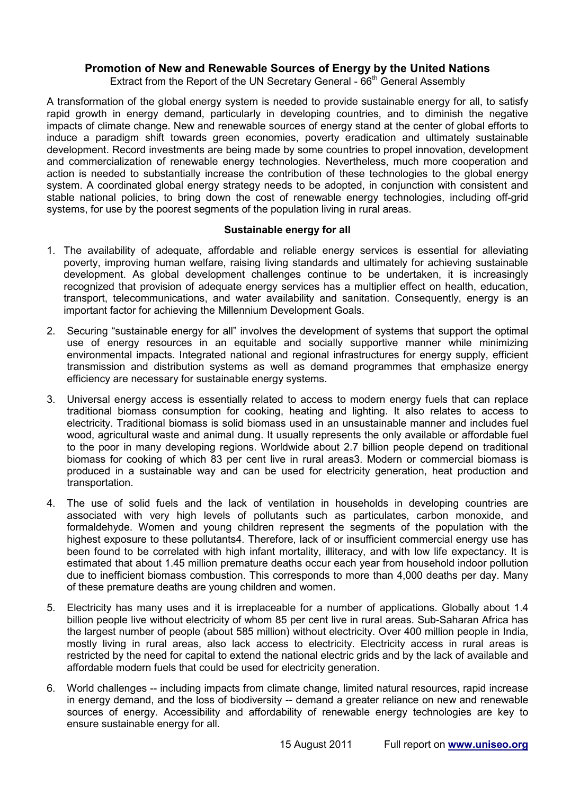#### **Promotion of New and Renewable Sources of Energy by the United Nations**

Extract from the Report of the UN Secretary General -  $66<sup>th</sup>$  General Assembly

A transformation of the global energy system is needed to provide sustainable energy for all, to satisfy rapid growth in energy demand, particularly in developing countries, and to diminish the negative impacts of climate change. New and renewable sources of energy stand at the center of global efforts to induce a paradigm shift towards green economies, poverty eradication and ultimately sustainable development. Record investments are being made by some countries to propel innovation, development and commercialization of renewable energy technologies. Nevertheless, much more cooperation and action is needed to substantially increase the contribution of these technologies to the global energy system. A coordinated global energy strategy needs to be adopted, in conjunction with consistent and stable national policies, to bring down the cost of renewable energy technologies, including off-grid systems, for use by the poorest segments of the population living in rural areas.

#### **Sustainable energy for all**

- 1. The availability of adequate, affordable and reliable energy services is essential for alleviating poverty, improving human welfare, raising living standards and ultimately for achieving sustainable development. As global development challenges continue to be undertaken, it is increasingly recognized that provision of adequate energy services has a multiplier effect on health, education, transport, telecommunications, and water availability and sanitation. Consequently, energy is an important factor for achieving the Millennium Development Goals.
- 2. Securing "sustainable energy for all" involves the development of systems that support the optimal use of energy resources in an equitable and socially supportive manner while minimizing environmental impacts. Integrated national and regional infrastructures for energy supply, efficient transmission and distribution systems as well as demand programmes that emphasize energy efficiency are necessary for sustainable energy systems.
- 3. Universal energy access is essentially related to access to modern energy fuels that can replace traditional biomass consumption for cooking, heating and lighting. It also relates to access to electricity. Traditional biomass is solid biomass used in an unsustainable manner and includes fuel wood, agricultural waste and animal dung. It usually represents the only available or affordable fuel to the poor in many developing regions. Worldwide about 2.7 billion people depend on traditional biomass for cooking of which 83 per cent live in rural areas3. Modern or commercial biomass is produced in a sustainable way and can be used for electricity generation, heat production and transportation.
- 4. The use of solid fuels and the lack of ventilation in households in developing countries are associated with very high levels of pollutants such as particulates, carbon monoxide, and formaldehyde. Women and young children represent the segments of the population with the highest exposure to these pollutants4. Therefore, lack of or insufficient commercial energy use has been found to be correlated with high infant mortality, illiteracy, and with low life expectancy. It is estimated that about 1.45 million premature deaths occur each year from household indoor pollution due to inefficient biomass combustion. This corresponds to more than 4,000 deaths per day. Many of these premature deaths are young children and women.
- 5. Electricity has many uses and it is irreplaceable for a number of applications. Globally about 1.4 billion people live without electricity of whom 85 per cent live in rural areas. Sub-Saharan Africa has the largest number of people (about 585 million) without electricity. Over 400 million people in India, mostly living in rural areas, also lack access to electricity. Electricity access in rural areas is restricted by the need for capital to extend the national electric grids and by the lack of available and affordable modern fuels that could be used for electricity generation.
- 6. World challenges -- including impacts from climate change, limited natural resources, rapid increase in energy demand, and the loss of biodiversity -- demand a greater reliance on new and renewable sources of energy. Accessibility and affordability of renewable energy technologies are key to ensure sustainable energy for all.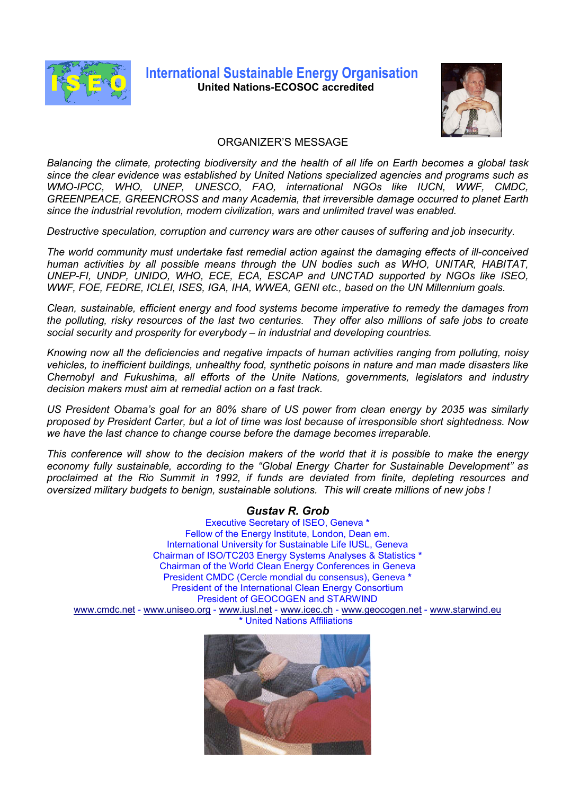

### **International Sustainable Energy Organisation United Nations-ECOSOC accredited**



#### ORGANIZER'S MESSAGE

*Balancing the climate, protecting biodiversity and the health of all life on Earth becomes a global task since the clear evidence was established by United Nations specialized agencies and programs such as WMO-IPCC, WHO, UNEP, UNESCO, FAO, international NGOs like IUCN, WWF, CMDC, GREENPEACE, GREENCROSS and many Academia, that irreversible damage occurred to planet Earth since the industrial revolution, modern civilization, wars and unlimited travel was enabled.* 

*Destructive speculation, corruption and currency wars are other causes of suffering and job insecurity.* 

*The world community must undertake fast remedial action against the damaging effects of ill-conceived human activities by all possible means through the UN bodies such as WHO, UNITAR, HABITAT, UNEP-FI, UNDP, UNIDO, WHO, ECE, ECA, ESCAP and UNCTAD supported by NGOs like ISEO, WWF, FOE, FEDRE, ICLEI, ISES, IGA, IHA, WWEA, GENI etc., based on the UN Millennium goals.* 

*Clean, sustainable, efficient energy and food systems become imperative to remedy the damages from the polluting, risky resources of the last two centuries. They offer also millions of safe jobs to create social security and prosperity for everybody – in industrial and developing countries.* 

*Knowing now all the deficiencies and negative impacts of human activities ranging from polluting, noisy vehicles, to inefficient buildings, unhealthy food, synthetic poisons in nature and man made disasters like Chernobyl and Fukushima, all efforts of the Unite Nations, governments, legislators and industry decision makers must aim at remedial action on a fast track.* 

*US President Obama's goal for an 80% share of US power from clean energy by 2035 was similarly proposed by President Carter, but a lot of time was lost because of irresponsible short sightedness. Now we have the last chance to change course before the damage becomes irreparable.* 

*This conference will show to the decision makers of the world that it is possible to make the energy economy fully sustainable, according to the "Global Energy Charter for Sustainable Development" as proclaimed at the Rio Summit in 1992, if funds are deviated from finite, depleting resources and oversized military budgets to benign, sustainable solutions. This will create millions of new jobs !* 

#### *Gustav R. Grob*

Executive Secretary of ISEO, Geneva **\***  Fellow of the Energy Institute, London, Dean em. International University for Sustainable Life IUSL, Geneva Chairman of ISO/TC203 Energy Systems Analyses & Statistics **\***  Chairman of the World Clean Energy Conferences in Geneva President CMDC (Cercle mondial du consensus), Geneva **\*** President of the International Clean Energy Consortium President of GEOCOGEN and STARWIND www.cmdc.net - www.uniseo.org - www.iusl.net - www.icec.ch - www.geocogen.net - www.starwind.eu **\*** United Nations Affiliations

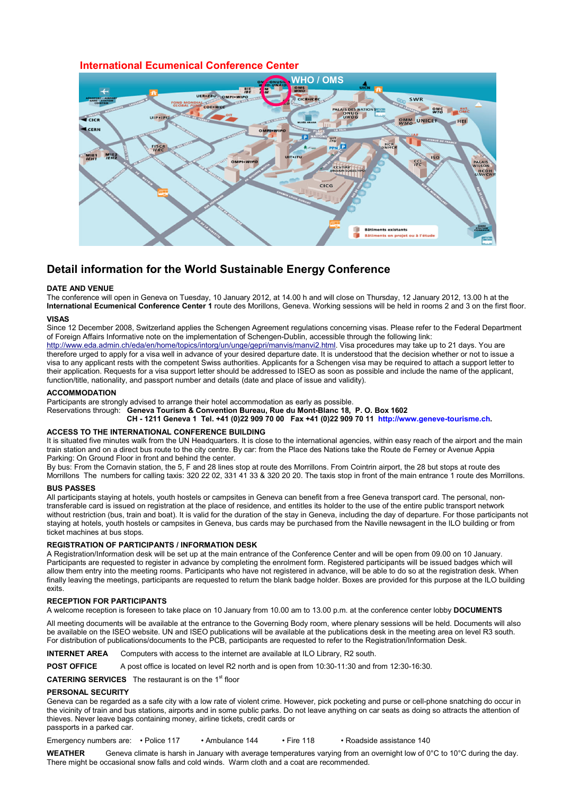#### **International Ecumenical Conference Center**



#### **Detail information for the World Sustainable Energy Conference**

#### **DATE AND VENUE**

The conference will open in Geneva on Tuesday, 10 January 2012, at 14.00 h and will close on Thursday, 12 January 2012, 13.00 h at the **International Ecumenical Conference Center 1** route des Morillons, Geneva. Working sessions will be held in rooms 2 and 3 on the first floor.

#### **VISAS**

Since 12 December 2008, Switzerland applies the Schengen Agreement regulations concerning visas. Please refer to the Federal Department of Foreign Affairs Informative note on the implementation of Schengen-Dublin, accessible through the following link:

http://www.eda.admin.ch/eda/en/home/topics/intorg/un/unge/gepri/manvis/manvi2.html. Visa procedures may take up to 21 days. You are therefore urged to apply for a visa well in advance of your desired departure date. It is understood that the decision whether or not to issue a visa to any applicant rests with the competent Swiss authorities. Applicants for a Schengen visa may be required to attach a support letter to their application. Requests for a visa support letter should be addressed to ISEO as soon as possible and include the name of the applicant, function/title, nationality, and passport number and details (date and place of issue and validity).

#### **ACCOMMODATION**

Participants are strongly advised to arrange their hotel accommodation as early as possible.

Reservations through: **Geneva Tourism & Convention Bureau, Rue du Mont-Blanc 18, P. O. Box 1602** 

 **CH - 1211 Geneva 1 Tel. +41 (0)22 909 70 00 Fax +41 (0)22 909 70 11 http://www.geneve-tourisme.ch.** 

#### **ACCESS TO THE INTERNATIONAL CONFERENCE BUILDING**

It is situated five minutes walk from the UN Headquarters. It is close to the international agencies, within easy reach of the airport and the main train station and on a direct bus route to the city centre. By car: from the Place des Nations take the Route de Ferney or Avenue Appia Parking: On Ground Floor in front and behind the center.

By bus: From the Cornavin station, the 5, F and 28 lines stop at route des Morrillons. From Cointrin airport, the 28 but stops at route des Morrillons The numbers for calling taxis: 320 22 02, 331 41 33 & 320 20 20. The taxis stop in front of the main entrance 1 route des Morrillons.

#### **BUS PASSES**

All participants staying at hotels, youth hostels or campsites in Geneva can benefit from a free Geneva transport card. The personal, nontransferable card is issued on registration at the place of residence, and entitles its holder to the use of the entire public transport network without restriction (bus, train and boat). It is valid for the duration of the stay in Geneva, including the day of departure. For those participants not staying at hotels, youth hostels or campsites in Geneva, bus cards may be purchased from the Naville newsagent in the ILO building or from ticket machines at bus stops.

#### **REGISTRATION OF PARTICIPANTS / INFORMATION DESK**

A Registration/Information desk will be set up at the main entrance of the Conference Center and will be open from 09.00 on 10 January. Participants are requested to register in advance by completing the enrolment form. Registered participants will be issued badges which will allow them entry into the meeting rooms. Participants who have not registered in advance, will be able to do so at the registration desk. When finally leaving the meetings, participants are requested to return the blank badge holder. Boxes are provided for this purpose at the ILO building exits.

#### **RECEPTION FOR PARTICIPANTS**

A welcome reception is foreseen to take place on 10 January from 10.00 am to 13.00 p.m. at the conference center lobby **DOCUMENTS** 

All meeting documents will be available at the entrance to the Governing Body room, where plenary sessions will be held. Documents will also be available on the ISEO website. UN and ISEO publications will be available at the publications desk in the meeting area on level R3 south. For distribution of publications/documents to the PCB, participants are requested to refer to the Registration/Information Desk.

**INTERNET AREA** Computers with access to the internet are available at ILO Library, R2 south.

**POST OFFICE** A post office is located on level R2 north and is open from 10:30-11:30 and from 12:30-16:30.

**CATERING SERVICES** The restaurant is on the 1<sup>st</sup> floor

#### **PERSONAL SECURITY**

Geneva can be regarded as a safe city with a low rate of violent crime. However, pick pocketing and purse or cell-phone snatching do occur in the vicinity of train and bus stations, airports and in some public parks. Do not leave anything on car seats as doing so attracts the attention of thieves. Never leave bags containing money, airline tickets, credit cards or passports in a parked car.

Emergency numbers are: • Police 117 • Ambulance 144 • Fire 118 • Roadside assistance 140

**WEATHER** Geneva climate is harsh in January with average temperatures varying from an overnight low of 0°C to 10°C during the day. There might be occasional snow falls and cold winds. Warm cloth and a coat are recommended.